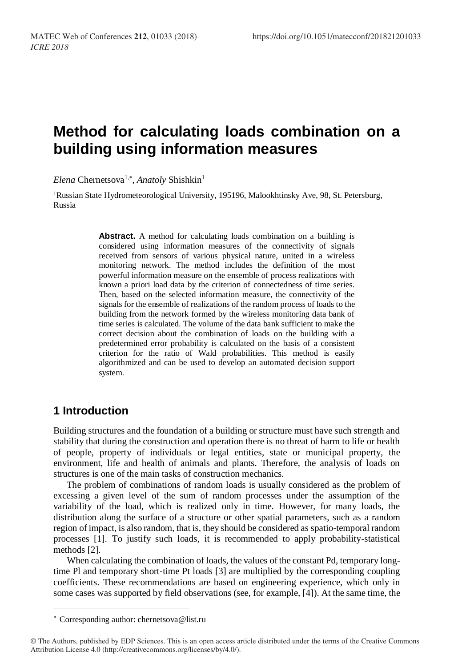# **Method for calculating loads combination on a building using information measures**

Elena Chernetsova<sup>1,\*</sup>, *Anatoly* Shishkin<sup>1</sup>

<sup>1</sup>Russian State Hydrometeorological University, 195196, Malookhtinsky Ave, 98, St. Petersburg, Russia

> **Abstract.** A method for calculating loads combination on a building is considered using information measures of the connectivity of signals received from sensors of various physical nature, united in a wireless monitoring network. The method includes the definition of the most powerful information measure on the ensemble of process realizations with known a priori load data by the criterion of connectedness of time series. Then, based on the selected information measure, the connectivity of the signals for the ensemble of realizations of the random process of loads to the building from the network formed by the wireless monitoring data bank of time series is calculated. The volume of the data bank sufficient to make the correct decision about the combination of loads on the building with a predetermined error probability is calculated on the basis of a consistent criterion for the ratio of Wald probabilities. This method is easily algorithmized and can be used to develop an automated decision support system.

## **1 Introduction**

l

Building structures and the foundation of a building or structure must have such strength and stability that during the construction and operation there is no threat of harm to life or health of people, property of individuals or legal entities, state or municipal property, the environment, life and health of animals and plants. Therefore, the analysis of loads on structures is one of the main tasks of construction mechanics.

The problem of combinations of random loads is usually considered as the problem of excessing a given level of the sum of random processes under the assumption of the variability of the load, which is realized only in time. However, for many loads, the distribution along the surface of a structure or other spatial parameters, such as a random region of impact, is also random, that is, they should be considered as spatio-temporal random processes [1]. To justify such loads, it is recommended to apply probability-statistical methods [2].

When calculating the combination of loads, the values of the constant Pd, temporary longtime Pl and temporary short-time Pt loads [3] are multiplied by the corresponding coupling coefficients. These recommendations are based on engineering experience, which only in some cases was supported by field observations (see, for example, [4]). At the same time, the

Corresponding author: chernetsova@list.ru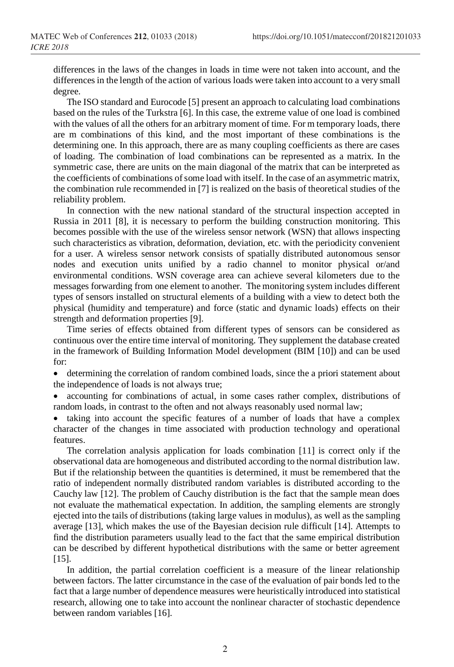differences in the laws of the changes in loads in time were not taken into account, and the differences in the length of the action of various loads were taken into account to a very small degree.

The ISO standard and Eurocode [5] present an approach to calculating load combinations based on the rules of the Turkstra [6]. In this case, the extreme value of one load is combined with the values of all the others for an arbitrary moment of time. For m temporary loads, there are m combinations of this kind, and the most important of these combinations is the determining one. In this approach, there are as many coupling coefficients as there are cases of loading. The combination of load combinations can be represented as a matrix. In the symmetric case, there are units on the main diagonal of the matrix that can be interpreted as the coefficients of combinations of some load with itself. In the case of an asymmetric matrix, the combination rule recommended in [7] is realized on the basis of theoretical studies of the reliability problem.

In connection with the new national standard of the structural inspection accepted in Russia in 2011 [8], it is necessary to perform the building construction monitoring. This becomes possible with the use of the wireless sensor network (WSN) that allows inspecting such characteristics as vibration, deformation, deviation, etc. with the periodicity convenient for a user. A wireless sensor network consists of spatially distributed autonomous sensor nodes and execution units unified by a radio channel to monitor physical or/and environmental conditions. WSN coverage area can achieve several kilometers due to the messages forwarding from one element to another. The monitoring system includes different types of sensors installed on structural elements of a building with a view to detect both the physical (humidity and temperature) and force (static and dynamic loads) effects on their strength and deformation properties [9].

Time series of effects obtained from different types of sensors can be considered as continuous over the entire time interval of monitoring. They supplement the database created in the framework of Building Information Model development (BIM [10]) and can be used for:

• determining the correlation of random combined loads, since the a priori statement about the independence of loads is not always true;

• accounting for combinations of actual, in some cases rather complex, distributions of random loads, in contrast to the often and not always reasonably used normal law;

• taking into account the specific features of a number of loads that have a complex character of the changes in time associated with production technology and operational features.

The correlation analysis application for loads combination [11] is correct only if the observational data are homogeneous and distributed according to the normal distribution law. But if the relationship between the quantities is determined, it must be remembered that the ratio of independent normally distributed random variables is distributed according to the Cauchy law [12]. The problem of Cauchy distribution is the fact that the sample mean does not evaluate the mathematical expectation. In addition, the sampling elements are strongly ejected into the tails of distributions (taking large values in modulus), as well as the sampling average [13], which makes the use of the Bayesian decision rule difficult [14]. Attempts to find the distribution parameters usually lead to the fact that the same empirical distribution can be described by different hypothetical distributions with the same or better agreement [15].

In addition, the partial correlation coefficient is a measure of the linear relationship between factors. The latter circumstance in the case of the evaluation of pair bonds led to the fact that a large number of dependence measures were heuristically introduced into statistical research, allowing one to take into account the nonlinear character of stochastic dependence between random variables [16].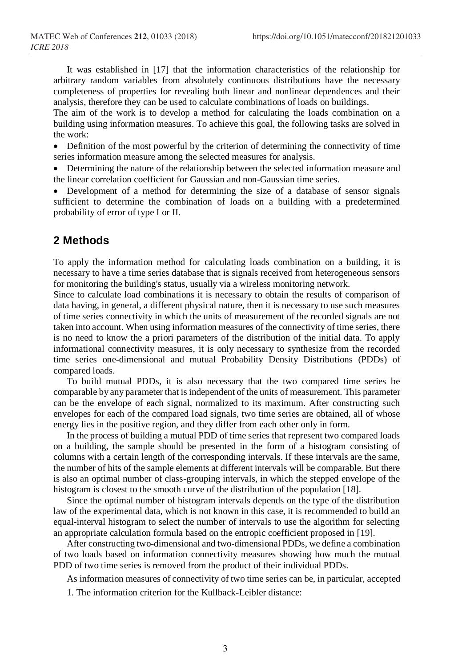It was established in [17] that the information characteristics of the relationship for arbitrary random variables from absolutely continuous distributions have the necessary completeness of properties for revealing both linear and nonlinear dependences and their analysis, therefore they can be used to calculate combinations of loads on buildings.

The aim of the work is to develop a method for calculating the loads combination on a building using information measures. To achieve this goal, the following tasks are solved in the work:

• Definition of the most powerful by the criterion of determining the connectivity of time series information measure among the selected measures for analysis.

• Determining the nature of the relationship between the selected information measure and the linear correlation coefficient for Gaussian and non-Gaussian time series.

• Development of a method for determining the size of a database of sensor signals sufficient to determine the combination of loads on a building with a predetermined probability of error of type I or II.

## **2 Methods**

To apply the information method for calculating loads combination on a building, it is necessary to have a time series database that is signals received from heterogeneous sensors for monitoring the building's status, usually via a wireless monitoring network.

Since to calculate load combinations it is necessary to obtain the results of comparison of data having, in general, a different physical nature, then it is necessary to use such measures of time series connectivity in which the units of measurement of the recorded signals are not taken into account. When using information measures of the connectivity of time series, there is no need to know the a priori parameters of the distribution of the initial data. To apply informational connectivity measures, it is only necessary to synthesize from the recorded time series one-dimensional and mutual Probability Density Distributions (PDDs) of compared loads.

To build mutual PDDs, it is also necessary that the two compared time series be comparable by any parameter that is independent of the units of measurement. This parameter can be the envelope of each signal, normalized to its maximum. After constructing such envelopes for each of the compared load signals, two time series are obtained, all of whose energy lies in the positive region, and they differ from each other only in form.

In the process of building a mutual PDD of time series that represent two compared loads on a building, the sample should be presented in the form of a histogram consisting of columns with a certain length of the corresponding intervals. If these intervals are the same, the number of hits of the sample elements at different intervals will be comparable. But there is also an optimal number of class-grouping intervals, in which the stepped envelope of the histogram is closest to the smooth curve of the distribution of the population [18].

Since the optimal number of histogram intervals depends on the type of the distribution law of the experimental data, which is not known in this case, it is recommended to build an equal-interval histogram to select the number of intervals to use the algorithm for selecting an appropriate calculation formula based on the entropic coefficient proposed in [19].

After constructing two-dimensional and two-dimensional PDDs, we define a combination of two loads based on information connectivity measures showing how much the mutual PDD of two time series is removed from the product of their individual PDDs.

As information measures of connectivity of two time series can be, in particular, accepted 1. The information criterion for the Kullback-Leibler distance: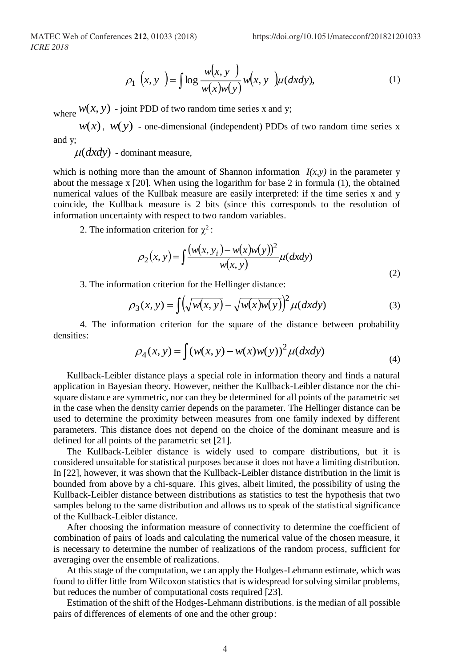$$
\rho_1(x, y) = \int \log \frac{w(x, y)}{w(x)w(y)} w(x, y) \mu(dxdy), \qquad (1)
$$

where  $w(x, y)$  - joint PDD of two random time series x and y;

 $w(x)$ ,  $w(y)$  - one-dimensional (independent) PDDs of two random time series x and y;

 $\mu(dxdy)$  - dominant measure,

which is nothing more than the amount of Shannon information  $I(x, y)$  in the parameter y about the message x [20]. When using the logarithm for base 2 in formula (1), the obtained numerical values of the Kullbak measure are easily interpreted: if the time series x and y coincide, the Kullback measure is 2 bits (since this corresponds to the resolution of information uncertainty with respect to two random variables.

2. The information criterion for  $\chi^2$ :

$$
\rho_2(x, y) = \int \frac{(w(x, y_i) - w(x)w(y))^2}{w(x, y)} \mu(dxdy)
$$
\n(2)

3. The information criterion for the Hellinger distance:

$$
\rho_3(x, y) = \int \left(\sqrt{w(x, y)} - \sqrt{w(x)w(y)}\right)^2 \mu(dxdy)
$$
\n(3)

4. The information criterion for the square of the distance between probability densities:

$$
\rho_4(x, y) = \int (w(x, y) - w(x)w(y))^2 \mu(dxdy)
$$
\n(4)

Kullback-Leibler distance plays a special role in information theory and finds a natural application in Bayesian theory. However, neither the Kullback-Leibler distance nor the chisquare distance are symmetric, nor can they be determined for all points of the parametric set in the case when the density carrier depends on the parameter. The Hellinger distance can be used to determine the proximity between measures from one family indexed by different parameters. This distance does not depend on the choice of the dominant measure and is defined for all points of the parametric set [21].

The Kullback-Leibler distance is widely used to compare distributions, but it is considered unsuitable for statistical purposes because it does not have a limiting distribution. In [22], however, it was shown that the Kullback-Leibler distance distribution in the limit is bounded from above by a chi-square. This gives, albeit limited, the possibility of using the Kullback-Leibler distance between distributions as statistics to test the hypothesis that two samples belong to the same distribution and allows us to speak of the statistical significance of the Kullback-Leibler distance.

After choosing the information measure of connectivity to determine the coefficient of combination of pairs of loads and calculating the numerical value of the chosen measure, it is necessary to determine the number of realizations of the random process, sufficient for averaging over the ensemble of realizations.

At this stage of the computation, we can apply the Hodges-Lehmann estimate, which was found to differ little from Wilcoxon statistics that is widespread for solving similar problems, but reduces the number of computational costs required [23].

Estimation of the shift of the Hodges-Lehmann distributions. is the median of all possible pairs of differences of elements of one and the other group: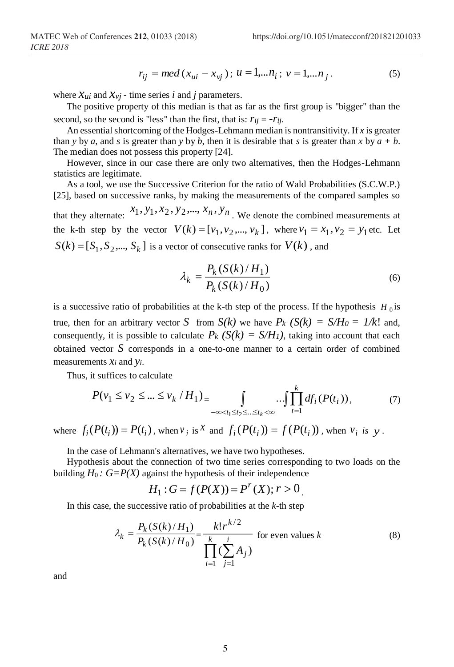$$
r_{ij} = med(x_{ui} - x_{vj}); u = 1,...n_i; v = 1,...n_j.
$$
 (5)

where  $\mathcal{X}_{ui}$  and  $\mathcal{X}_{vi}$  - time series *i* and *j* parameters.

The positive property of this median is that as far as the first group is "bigger" than the second, so the second is "less" than the first, that is:  $r_{ii} = -r_{ii}$ .

An essential shortcoming of the Hodges-Lehmann median is nontransitivity. If *x* is greater than *y* by *a*, and *s* is greater than *y* by *b*, then it is desirable that *s* is greater than *x* by  $a + b$ . The median does not possess this property [24].

However, since in our case there are only two alternatives, then the Hodges-Lehmann statistics are legitimate.

As a tool, we use the Successive Criterion for the ratio of Wald Probabilities (S.C.W.P.) [25], based on successive ranks, by making the measurements of the compared samples so that they alternate:  $x_1, y_1, x_2, y_2, ..., x_n, y_n$ . We denote the combined measurements at the k-th step by the vector  $V(k) = [v_1, v_2, ..., v_k]$ , where  $v_1 = x_1, v_2 = y_1$  etc. Let  $S(k) = [S_1, S_2, \dots, S_k]$  is a vector of consecutive ranks for  $V(k)$ , and

$$
\lambda_k = \frac{P_k(S(k)/H_1)}{P_k(S(k)/H_0)}
$$
\n(6)

is a successive ratio of probabilities at the k-th step of the process. If the hypothesis  $H_0$  is true, then for an arbitrary vector *S* from  $S(k)$  we have  $P_k$   $(S(k) = S/H_0 = 1/k!$  and, consequently, it is possible to calculate  $P_k$   $(S(k) = S/H_1)$ , taking into account that each obtained vector *S* corresponds in a one-to-one manner to a certain order of combined measurements *x<sup>i</sup>* and *yi*.

Thus, it suffices to calculate

$$
P(v_1 \le v_2 \le \dots \le v_k / H_1) = \int_{-\infty < t_1 \le t_2 \le \dots \le t_k < \infty} \dots \int \prod_{t=1}^k df_i(P(t_i)),\tag{7}
$$

where  $f_i(P(t_i)) = P(t_i)$ , when  $v_i$  is <sup>X</sup> and  $f_i(P(t_i)) = f(P(t_i))$ , when  $v_i$  is y.

In the case of Lehmann's alternatives, we have two hypotheses.

Hypothesis about the connection of two time series corresponding to two loads on the building  $H_0$ :  $G = P(X)$  against the hypothesis of their independence

$$
H_1: G = f(P(X)) = P^r(X); r > 0
$$

In this case, the successive ratio of probabilities at the *k*-th step

$$
\lambda_k = \frac{P_k(S(k)/H_1)}{P_k(S(k)/H_0)} = \frac{k! r^{k/2}}{\prod_{i=1}^k (\sum_{j=1}^i A_j)}
$$
 for even values k (8)

and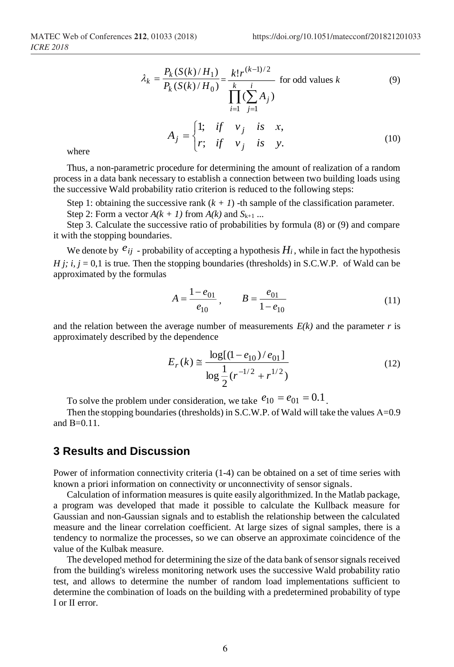$$
\lambda_k = \frac{P_k(S(k)/H_1)}{P_k(S(k)/H_0)} = \frac{k! r^{(k-1)/2}}{\prod_{i=1}^k (\sum_{j=1}^i A_j)}
$$
 for odd values k (9)

$$
A_j = \begin{cases} 1; & \text{if } v_j \text{ is } x, \\ r; & \text{if } v_j \text{ is } y. \end{cases} \tag{10}
$$

where

Thus, a non-parametric procedure for determining the amount of realization of a random process in a data bank necessary to establish a connection between two building loads using the successive Wald probability ratio criterion is reduced to the following steps:

Step 1: obtaining the successive rank  $(k + 1)$  -th sample of the classification parameter.

Step 2: Form a vector  $A(k + 1)$  from  $A(k)$  and  $S_{k+1}$  ...

Step 3. Calculate the successive ratio of probabilities by formula (8) or (9) and compare it with the stopping boundaries.

We denote by  $e_{ij}$  - probability of accepting a hypothesis  $H_i$ , while in fact the hypothesis *H j; i, j* = 0,1 is true. Then the stopping boundaries (thresholds) in S.C.W.P. of Wald can be approximated by the formulas

$$
A = \frac{1 - e_{01}}{e_{10}}, \qquad B = \frac{e_{01}}{1 - e_{10}} \tag{11}
$$

and the relation between the average number of measurements  $E(k)$  and the parameter *r* is approximately described by the dependence

$$
E_r(k) \approx \frac{\log[(1 - e_{10})/e_{01}]}{\log \frac{1}{2}(r^{-1/2} + r^{1/2})}
$$
(12)

To solve the problem under consideration, we take  $e_{10} = e_{01} = 0.1$ .

Then the stopping boundaries (thresholds) in S.C.W.P. of Wald will take the values A=0.9 and  $B=0.11$ .

### **3 Results and Discussion**

Power of information connectivity criteria (1-4) can be obtained on a set of time series with known a priori information on connectivity or unconnectivity of sensor signals.

Calculation of information measures is quite easily algorithmized. In the Matlab package, a program was developed that made it possible to calculate the Kullback measure for Gaussian and non-Gaussian signals and to establish the relationship between the calculated measure and the linear correlation coefficient. At large sizes of signal samples, there is a tendency to normalize the processes, so we can observe an approximate coincidence of the value of the Kulbak measure.

The developed method for determining the size of the data bank of sensor signals received from the building's wireless monitoring network uses the successive Wald probability ratio test, and allows to determine the number of random load implementations sufficient to determine the combination of loads on the building with a predetermined probability of type I or II error.